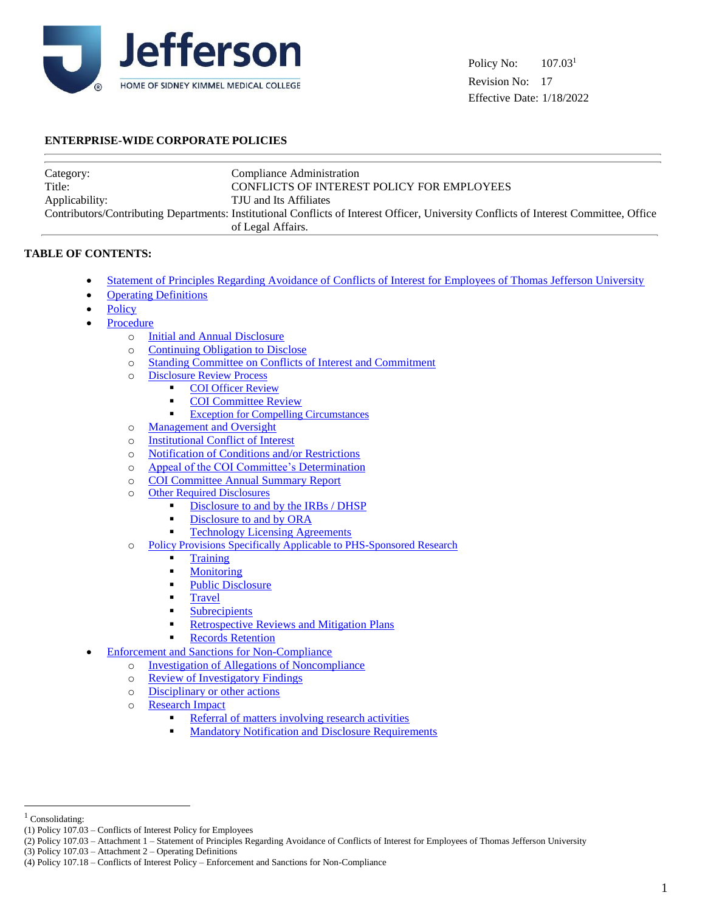

## **ENTERPRISE-WIDE CORPORATE POLICIES**

| Category:      | Compliance Administration                                                                                                              |
|----------------|----------------------------------------------------------------------------------------------------------------------------------------|
| Title:         | <b>CONFLICTS OF INTEREST POLICY FOR EMPLOYEES</b>                                                                                      |
| Applicability: | TJU and Its Affiliates                                                                                                                 |
|                | Contributors/Contributing Departments: Institutional Conflicts of Interest Officer, University Conflicts of Interest Committee, Office |
|                | of Legal Affairs.                                                                                                                      |

## **TABLE OF CONTENTS:**

- Statement of Principles Regarding Avoidance of Conflicts of Interest for Employees of Thomas Jefferson University
- [Operating Definitions](#page-2-0)
- **[Policy](#page-5-0)**
- [Procedure](#page-5-1)
	- o [Initial and Annual Disclosure](#page-5-2)
	- o [Continuing Obligation to Disclose](#page-5-3)
	- o [Standing Committee on Conflicts of Interest and Commitment](#page-6-0)
	- o [Disclosure Review Process](#page-6-1)
		- **COI** Officer [Review](#page-6-1)
		- **[COI Committee Review](#page-6-2)**
		- **[Exception for Compelling Circumstances](#page-6-3)**
	- o [Management and Oversight](#page-7-0)
	- o [Institutional Conflict of Interest](#page-7-1)
	- o [Notification of Conditions and/or Restrictions](#page-7-2)
	- o [Appeal of the COI Committee's Determination](#page-7-3)
	- o [COI Committee Annual Summary Report](#page-8-0)
	- o [Other Required Disclosures](#page-8-1)
		- [Disclosure to and by the IRBs / DHSP](#page-8-1)
		- [Disclosure to and by ORA](#page-8-2)
		- [Technology Licensing Agreements](#page-8-3)
	- o [Policy Provisions Specifically Applicable to PHS-Sponsored Research](#page-8-4)
		- **[Training](#page-8-5)**
		- **[Monitoring](#page-9-0)**
		- [Public Disclosure](#page-9-1)
		- [Travel](#page-9-2)
		- **[Subrecipients](#page-9-3)**
		- [Retrospective Reviews and Mitigation Plans](#page-9-4)
		- [Records Retention](#page-10-0)
- [Enforcement and Sanctions for Non-Compliance](#page-10-1)
	- o [Investigation of Allegations of Noncompliance](#page-10-2)
	- o [Review of Investigatory Findings](#page-10-3)
	- o [Disciplinary or other actions](#page-10-4)
	- o [Research Impact](#page-10-5)
		- [Referral of matters involving research activities](#page-10-6)
		- [Mandatory Notification and](#page-10-7) Disclosure Requirements

l

(3) Policy 107.03 – Attachment 2 – Operating Definitions

<sup>&</sup>lt;sup>1</sup> Consolidating:

<sup>(1)</sup> Policy 107.03 – Conflicts of Interest Policy for Employees

<sup>(2)</sup> Policy 107.03 – Attachment 1 – Statement of Principles Regarding Avoidance of Conflicts of Interest for Employees of Thomas Jefferson University

<sup>(4)</sup> Policy 107.18 – Conflicts of Interest Policy – Enforcement and Sanctions for Non-Compliance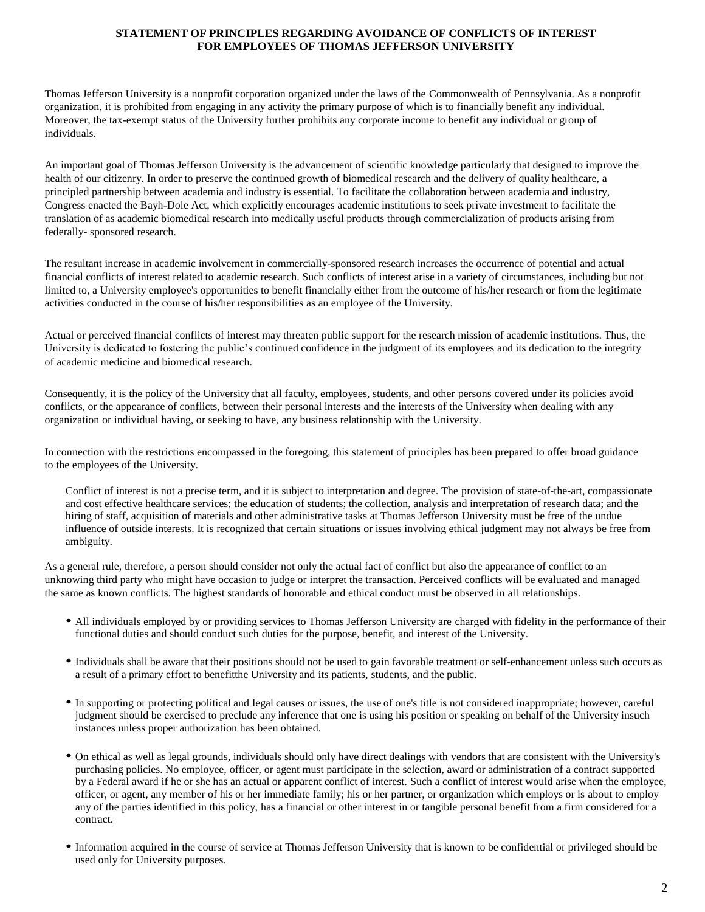#### **STATEMENT OF PRINCIPLES REGARDING AVOIDANCE OF CONFLICTS OF INTEREST FOR EMPLOYEES OF THOMAS JEFFERSON UNIVERSITY**

Thomas Jefferson University is a nonprofit corporation organized under the laws of the Commonwealth of Pennsylvania. As a nonprofit organization, it is prohibited from engaging in any activity the primary purpose of which is to financially benefit any individual. Moreover, the tax-exempt status of the University further prohibits any corporate income to benefit any individual or group of individuals.

An important goal of Thomas Jefferson University is the advancement of scientific knowledge particularly that designed to improve the health of our citizenry. In order to preserve the continued growth of biomedical research and the delivery of quality healthcare, a principled partnership between academia and industry is essential. To facilitate the collaboration between academia and industry, Congress enacted the Bayh-Dole Act, which explicitly encourages academic institutions to seek private investment to facilitate the translation of as academic biomedical research into medically useful products through commercialization of products arising from federally- sponsored research.

The resultant increase in academic involvement in commercially-sponsored research increases the occurrence of potential and actual financial conflicts of interest related to academic research. Such conflicts of interest arise in a variety of circumstances, including but not limited to, a University employee's opportunities to benefit financially either from the outcome of his/her research or from the legitimate activities conducted in the course of his/her responsibilities as an employee of the University.

Actual or perceived financial conflicts of interest may threaten public support for the research mission of academic institutions. Thus, the University is dedicated to fostering the public's continued confidence in the judgment of its employees and its dedication to the integrity of academic medicine and biomedical research.

Consequently, it is the policy of the University that all faculty, employees, students, and other persons covered under its policies avoid conflicts, or the appearance of conflicts, between their personal interests and the interests of the University when dealing with any organization or individual having, or seeking to have, any business relationship with the University.

In connection with the restrictions encompassed in the foregoing, this statement of principles has been prepared to offer broad guidance to the employees of the University.

Conflict of interest is not a precise term, and it is subject to interpretation and degree. The provision of state-of-the-art, compassionate and cost effective healthcare services; the education of students; the collection, analysis and interpretation of research data; and the hiring of staff, acquisition of materials and other administrative tasks at Thomas Jefferson University must be free of the undue influence of outside interests. It is recognized that certain situations or issues involving ethical judgment may not always be free from ambiguity.

As a general rule, therefore, a person should consider not only the actual fact of conflict but also the appearance of conflict to an unknowing third party who might have occasion to judge or interpret the transaction. Perceived conflicts will be evaluated and managed the same as known conflicts. The highest standards of honorable and ethical conduct must be observed in all relationships.

- All individuals employed by or providing services to Thomas Jefferson University are charged with fidelity in the performance of their functional duties and should conduct such duties for the purpose, benefit, and interest of the University.
- Individuals shall be aware that their positions should not be used to gain favorable treatment or self-enhancement unless such occurs as a result of a primary effort to benefitthe University and its patients, students, and the public.
- In supporting or protecting political and legal causes or issues, the use of one's title is not considered inappropriate; however, careful judgment should be exercised to preclude any inference that one is using his position or speaking on behalf of the University insuch instances unless proper authorization has been obtained.
- On ethical as well as legal grounds, individuals should only have direct dealings with vendors that are consistent with the University's purchasing policies. No employee, officer, or agent must participate in the selection, award or administration of a contract supported by a Federal award if he or she has an actual or apparent conflict of interest. Such a conflict of interest would arise when the employee, officer, or agent, any member of his or her immediate family; his or her partner, or organization which employs or is about to employ any of the parties identified in this policy, has a financial or other interest in or tangible personal benefit from a firm considered for a contract.
- Information acquired in the course of service at Thomas Jefferson University that is known to be confidential or privileged should be used only for University purposes.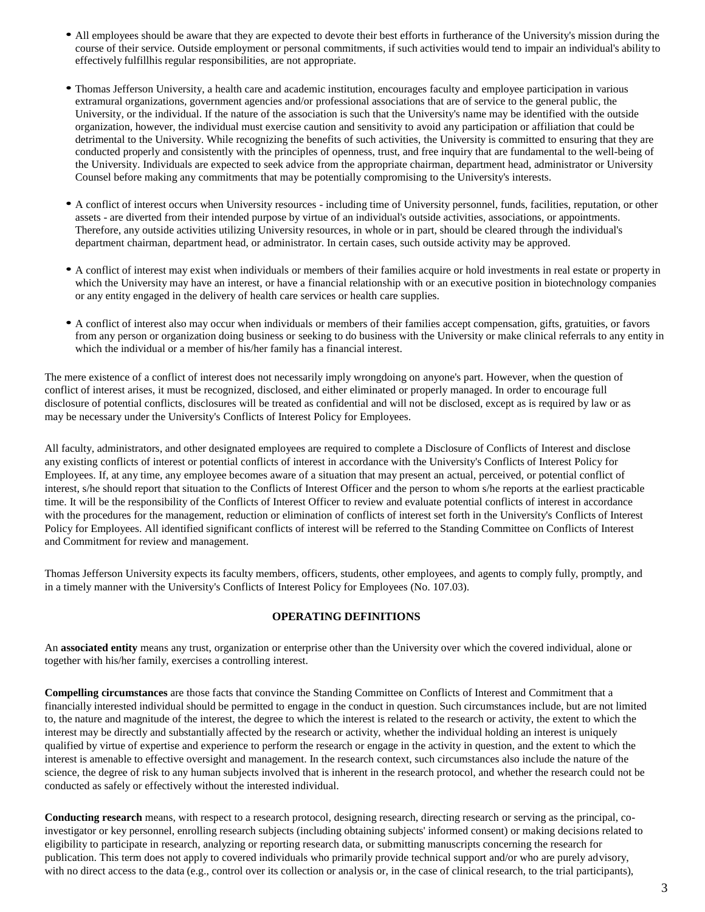- All employees should be aware that they are expected to devote their best efforts in furtherance of the University's mission during the course of their service. Outside employment or personal commitments, if such activities would tend to impair an individual's ability to effectively fulfillhis regular responsibilities, are not appropriate.
- Thomas Jefferson University, a health care and academic institution, encourages faculty and employee participation in various extramural organizations, government agencies and/or professional associations that are of service to the general public, the University, or the individual. If the nature of the association is such that the University's name may be identified with the outside organization, however, the individual must exercise caution and sensitivity to avoid any participation or affiliation that could be detrimental to the University. While recognizing the benefits of such activities, the University is committed to ensuring that they are conducted properly and consistently with the principles of openness, trust, and free inquiry that are fundamental to the well-being of the University. Individuals are expected to seek advice from the appropriate chairman, department head, administrator or University Counsel before making any commitments that may be potentially compromising to the University's interests.
- A conflict of interest occurs when University resources including time of University personnel, funds, facilities, reputation, or other assets - are diverted from their intended purpose by virtue of an individual's outside activities, associations, or appointments. Therefore, any outside activities utilizing University resources, in whole or in part, should be cleared through the individual's department chairman, department head, or administrator. In certain cases, such outside activity may be approved.
- A conflict of interest may exist when individuals or members of their families acquire or hold investments in real estate or property in which the University may have an interest, or have a financial relationship with or an executive position in biotechnology companies or any entity engaged in the delivery of health care services or health care supplies.
- A conflict of interest also may occur when individuals or members of their families accept compensation, gifts, gratuities, or favors from any person or organization doing business or seeking to do business with the University or make clinical referrals to any entity in which the individual or a member of his/her family has a financial interest.

The mere existence of a conflict of interest does not necessarily imply wrongdoing on anyone's part. However, when the question of conflict of interest arises, it must be recognized, disclosed, and either eliminated or properly managed. In order to encourage full disclosure of potential conflicts, disclosures will be treated as confidential and will not be disclosed, except as is required by law or as may be necessary under the University's Conflicts of Interest Policy for Employees.

All faculty, administrators, and other designated employees are required to complete a Disclosure of Conflicts of Interest and disclose any existing conflicts of interest or potential conflicts of interest in accordance with the University's Conflicts of Interest Policy for Employees. If, at any time, any employee becomes aware of a situation that may present an actual, perceived, or potential conflict of interest, s/he should report that situation to the Conflicts of Interest Officer and the person to whom s/he reports at the earliest practicable time. It will be the responsibility of the Conflicts of Interest Officer to review and evaluate potential conflicts of interest in accordance with the procedures for the management, reduction or elimination of conflicts of interest set forth in the University's Conflicts of Interest Policy for Employees. All identified significant conflicts of interest will be referred to the Standing Committee on Conflicts of Interest and Commitment for review and management.

Thomas Jefferson University expects its faculty members, officers, students, other employees, and agents to comply fully, promptly, and in a timely manner with the University's Conflicts of Interest Policy for Employees (No. 107.03).

## **OPERATING DEFINITIONS**

<span id="page-2-0"></span>An **associated entity** means any trust, organization or enterprise other than the University over which the covered individual, alone or together with his/her family, exercises a controlling interest.

**Compelling circumstances** are those facts that convince the Standing Committee on Conflicts of Interest and Commitment that a financially interested individual should be permitted to engage in the conduct in question. Such circumstances include, but are not limited to, the nature and magnitude of the interest, the degree to which the interest is related to the research or activity, the extent to which the interest may be directly and substantially affected by the research or activity, whether the individual holding an interest is uniquely qualified by virtue of expertise and experience to perform the research or engage in the activity in question, and the extent to which the interest is amenable to effective oversight and management. In the research context, such circumstances also include the nature of the science, the degree of risk to any human subjects involved that is inherent in the research protocol, and whether the research could not be conducted as safely or effectively without the interested individual.

**Conducting research** means, with respect to a research protocol, designing research, directing research or serving as the principal, coinvestigator or key personnel, enrolling research subjects (including obtaining subjects' informed consent) or making decisions related to eligibility to participate in research, analyzing or reporting research data, or submitting manuscripts concerning the research for publication. This term does not apply to covered individuals who primarily provide technical support and/or who are purely advisory, with no direct access to the data (e.g., control over its collection or analysis or, in the case of clinical research, to the trial participants),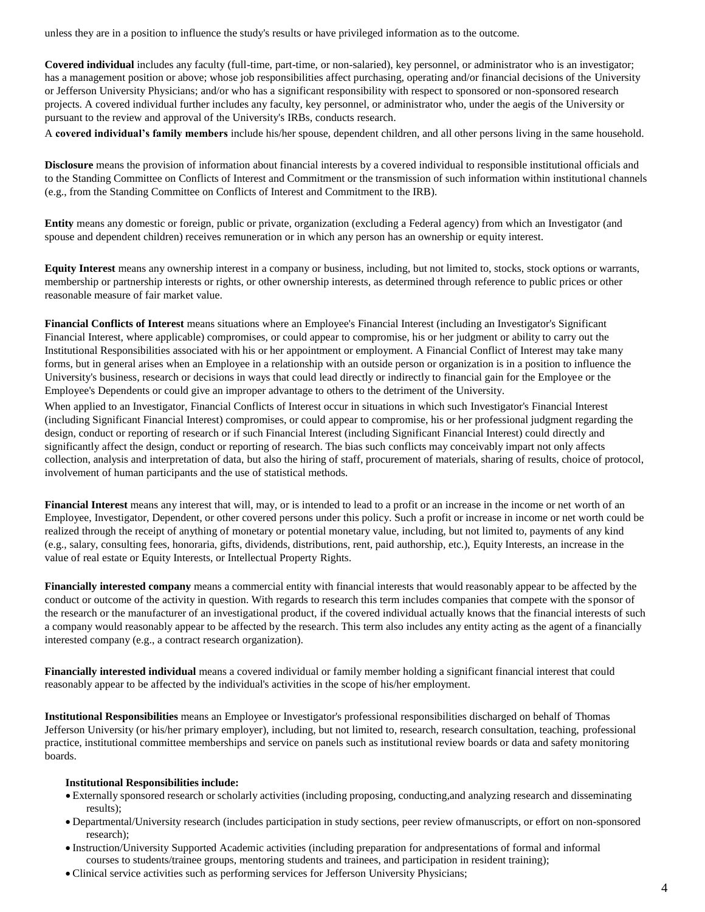unless they are in a position to influence the study's results or have privileged information as to the outcome.

**Covered individual** includes any faculty (full-time, part-time, or non-salaried), key personnel, or administrator who is an investigator; has a management position or above; whose job responsibilities affect purchasing, operating and/or financial decisions of the University or Jefferson University Physicians; and/or who has a significant responsibility with respect to sponsored or non-sponsored research projects. A covered individual further includes any faculty, key personnel, or administrator who, under the aegis of the University or pursuant to the review and approval of the University's IRBs, conducts research.

A **covered individual's family members** include his/her spouse, dependent children, and all other persons living in the same household.

**Disclosure** means the provision of information about financial interests by a covered individual to responsible institutional officials and to the Standing Committee on Conflicts of Interest and Commitment or the transmission of such information within institutional channels (e.g., from the Standing Committee on Conflicts of Interest and Commitment to the IRB).

**Entity** means any domestic or foreign, public or private, organization (excluding a Federal agency) from which an Investigator (and spouse and dependent children) receives remuneration or in which any person has an ownership or equity interest.

**Equity Interest** means any ownership interest in a company or business, including, but not limited to, stocks, stock options or warrants, membership or partnership interests or rights, or other ownership interests, as determined through reference to public prices or other reasonable measure of fair market value.

**Financial Conflicts of Interest** means situations where an Employee's Financial Interest (including an Investigator's Significant Financial Interest, where applicable) compromises, or could appear to compromise, his or her judgment or ability to carry out the Institutional Responsibilities associated with his or her appointment or employment. A Financial Conflict of Interest may take many forms, but in general arises when an Employee in a relationship with an outside person or organization is in a position to influence the University's business, research or decisions in ways that could lead directly or indirectly to financial gain for the Employee or the Employee's Dependents or could give an improper advantage to others to the detriment of the University.

When applied to an Investigator, Financial Conflicts of Interest occur in situations in which such Investigator's Financial Interest (including Significant Financial Interest) compromises, or could appear to compromise, his or her professional judgment regarding the design, conduct or reporting of research or if such Financial Interest (including Significant Financial Interest) could directly and significantly affect the design, conduct or reporting of research. The bias such conflicts may conceivably impart not only affects collection, analysis and interpretation of data, but also the hiring of staff, procurement of materials, sharing of results, choice of protocol, involvement of human participants and the use of statistical methods.

**Financial Interest** means any interest that will, may, or is intended to lead to a profit or an increase in the income or net worth of an Employee, Investigator, Dependent, or other covered persons under this policy. Such a profit or increase in income or net worth could be realized through the receipt of anything of monetary or potential monetary value, including, but not limited to, payments of any kind (e.g., salary, consulting fees, honoraria, gifts, dividends, distributions, rent, paid authorship, etc.), Equity Interests, an increase in the value of real estate or Equity Interests, or Intellectual Property Rights.

**Financially interested company** means a commercial entity with financial interests that would reasonably appear to be affected by the conduct or outcome of the activity in question. With regards to research this term includes companies that compete with the sponsor of the research or the manufacturer of an investigational product, if the covered individual actually knows that the financial interests of such a company would reasonably appear to be affected by the research. This term also includes any entity acting as the agent of a financially interested company (e.g., a contract research organization).

**Financially interested individual** means a covered individual or family member holding a significant financial interest that could reasonably appear to be affected by the individual's activities in the scope of his/her employment.

**Institutional Responsibilities** means an Employee or Investigator's professional responsibilities discharged on behalf of Thomas Jefferson University (or his/her primary employer), including, but not limited to, research, research consultation, teaching, professional practice, institutional committee memberships and service on panels such as institutional review boards or data and safety monitoring boards.

#### **Institutional Responsibilities include:**

- Externally sponsored research or scholarly activities (including proposing, conducting,and analyzing research and disseminating results);
- Departmental/University research (includes participation in study sections, peer review ofmanuscripts, or effort on non-sponsored research);
- Instruction/University Supported Academic activities (including preparation for andpresentations of formal and informal courses to students/trainee groups, mentoring students and trainees, and participation in resident training);
- Clinical service activities such as performing services for Jefferson University Physicians;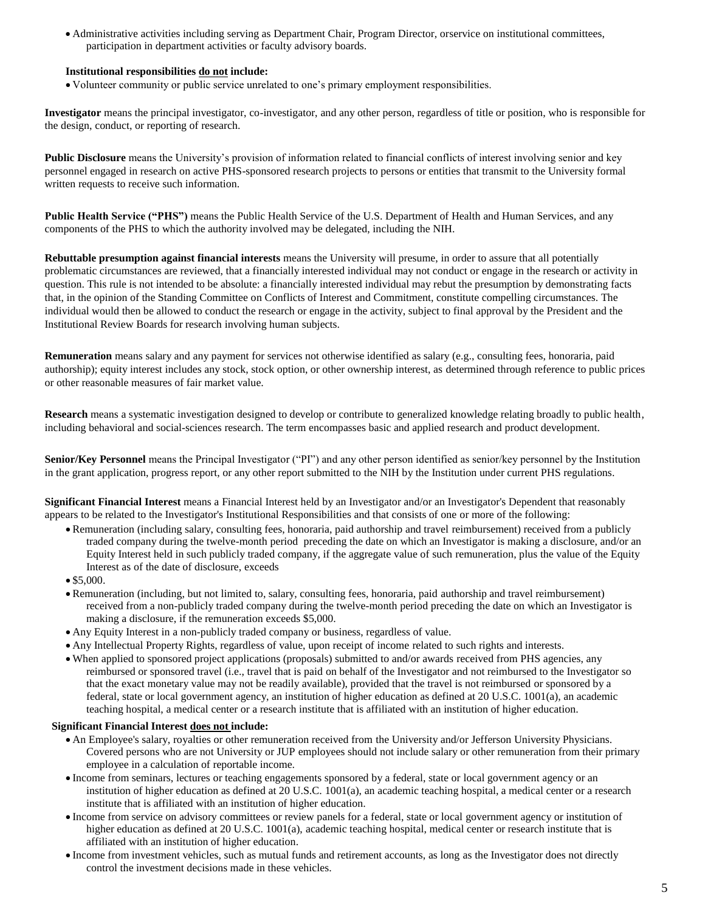Administrative activities including serving as Department Chair, Program Director, orservice on institutional committees, participation in department activities or faculty advisory boards.

#### **Institutional responsibilities do not include:**

Volunteer community or public service unrelated to one's primary employment responsibilities.

**Investigator** means the principal investigator, co-investigator, and any other person, regardless of title or position, who is responsible for the design, conduct, or reporting of research.

**Public Disclosure** means the University's provision of information related to financial conflicts of interest involving senior and key personnel engaged in research on active PHS-sponsored research projects to persons or entities that transmit to the University formal written requests to receive such information.

**Public Health Service ("PHS")** means the Public Health Service of the U.S. Department of Health and Human Services, and any components of the PHS to which the authority involved may be delegated, including the NIH.

**Rebuttable presumption against financial interests** means the University will presume, in order to assure that all potentially problematic circumstances are reviewed, that a financially interested individual may not conduct or engage in the research or activity in question. This rule is not intended to be absolute: a financially interested individual may rebut the presumption by demonstrating facts that, in the opinion of the Standing Committee on Conflicts of Interest and Commitment, constitute compelling circumstances. The individual would then be allowed to conduct the research or engage in the activity, subject to final approval by the President and the Institutional Review Boards for research involving human subjects.

**Remuneration** means salary and any payment for services not otherwise identified as salary (e.g., consulting fees, honoraria, paid authorship); equity interest includes any stock, stock option, or other ownership interest, as determined through reference to public prices or other reasonable measures of fair market value.

**Research** means a systematic investigation designed to develop or contribute to generalized knowledge relating broadly to public health, including behavioral and social-sciences research. The term encompasses basic and applied research and product development.

**Senior/Key Personnel** means the Principal Investigator ("PI") and any other person identified as senior/key personnel by the Institution in the grant application, progress report, or any other report submitted to the NIH by the Institution under current PHS regulations.

**Significant Financial Interest** means a Financial Interest held by an Investigator and/or an Investigator's Dependent that reasonably appears to be related to the Investigator's Institutional Responsibilities and that consists of one or more of the following:

- Remuneration (including salary, consulting fees, honoraria, paid authorship and travel reimbursement) received from a publicly traded company during the twelve-month period preceding the date on which an Investigator is making a disclosure, and/or an Equity Interest held in such publicly traded company, if the aggregate value of such remuneration, plus the value of the Equity Interest as of the date of disclosure, exceeds
- $\bullet$  \$5,000.
- Remuneration (including, but not limited to, salary, consulting fees, honoraria, paid authorship and travel reimbursement) received from a non-publicly traded company during the twelve-month period preceding the date on which an Investigator is making a disclosure, if the remuneration exceeds \$5,000.
- Any Equity Interest in a non-publicly traded company or business, regardless of value.
- Any Intellectual Property Rights, regardless of value, upon receipt of income related to such rights and interests.
- When applied to sponsored project applications (proposals) submitted to and/or awards received from PHS agencies, any reimbursed or sponsored travel (i.e., travel that is paid on behalf of the Investigator and not reimbursed to the Investigator so that the exact monetary value may not be readily available), provided that the travel is not reimbursed or sponsored by a federal, state or local government agency, an institution of higher education as defined at 20 U.S.C. 1001(a), an academic teaching hospital, a medical center or a research institute that is affiliated with an institution of higher education.

#### **Significant Financial Interest does not include:**

- An Employee's salary, royalties or other remuneration received from the University and/or Jefferson University Physicians. Covered persons who are not University or JUP employees should not include salary or other remuneration from their primary employee in a calculation of reportable income.
- Income from seminars, lectures or teaching engagements sponsored by a federal, state or local government agency or an institution of higher education as defined at 20 U.S.C. 1001(a), an academic teaching hospital, a medical center or a research institute that is affiliated with an institution of higher education.
- Income from service on advisory committees or review panels for a federal, state or local government agency or institution of higher education as defined at 20 U.S.C. 1001(a), academic teaching hospital, medical center or research institute that is affiliated with an institution of higher education.
- Income from investment vehicles, such as mutual funds and retirement accounts, as long as the Investigator does not directly control the investment decisions made in these vehicles.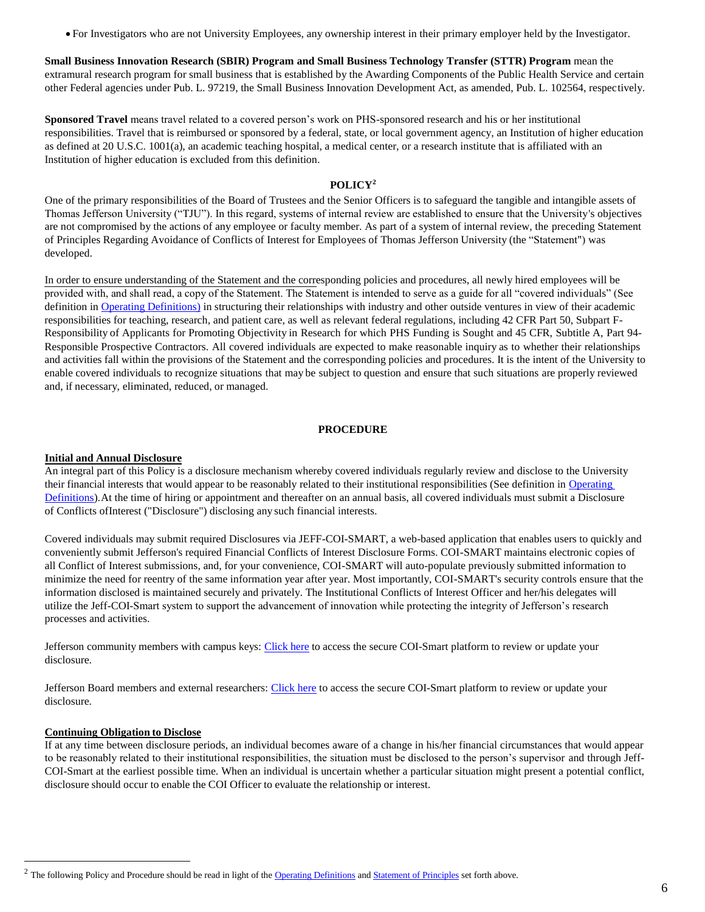For Investigators who are not University Employees, any ownership interest in their primary employer held by the Investigator.

**Small Business Innovation Research (SBIR) Program and Small Business Technology Transfer (STTR) Program** mean the extramural research program for small business that is established by the Awarding Components of the Public Health Service and certain other Federal agencies under Pub. L. 97219, the Small Business Innovation Development Act, as amended, Pub. L. 102564, respectively.

**Sponsored Travel** means travel related to a covered person's work on PHS-sponsored research and his or her institutional responsibilities. Travel that is reimbursed or sponsored by a federal, state, or local government agency, an Institution of higher education as defined at 20 U.S.C. 1001(a), an academic teaching hospital, a medical center, or a research institute that is affiliated with an Institution of higher education is excluded from this definition.

#### **POLICY<sup>2</sup>**

<span id="page-5-0"></span>One of the primary responsibilities of the Board of Trustees and the Senior Officers is to safeguard the tangible and intangible assets of Thomas Jefferson University ("TJU"). In this regard, systems of internal review are established to ensure that the University's objectives are not compromised by the actions of any employee or faculty member. As part of a system of internal review, the preceding Statement of Principles Regarding Avoidance of Conflicts of Interest for Employees of Thomas Jefferson University (the "Statement") was developed.

In order to ensure understanding of the Statement and the corresponding policies and procedures, all newly hired employees will be provided with, and shall read, a copy of the Statement. The Statement is intended to serve as a guide for all "covered individuals" (See definition in [Operating Definitions\)](#page-2-0) in structuring their relationships with industry and other outside ventures in view of their academic responsibilities for teaching, research, and patient care, as well as relevant federal regulations, including 42 CFR Part 50, Subpart F-Responsibility of Applicants for Promoting Objectivity in Research for which PHS Funding is Sought and 45 CFR, Subtitle A, Part 94- Responsible Prospective Contractors. All covered individuals are expected to make reasonable inquiry as to whether their relationships and activities fall within the provisions of the Statement and the corresponding policies and procedures. It is the intent of the University to enable covered individuals to recognize situations that may be subject to question and ensure that such situations are properly reviewed and, if necessary, eliminated, reduced, or managed.

#### **PROCEDURE**

#### <span id="page-5-2"></span><span id="page-5-1"></span>**Initial and Annual Disclosure**

An integral part of this Policy is a disclosure mechanism whereby covered individuals regularly review and disclose to the University their financial interests that would appear to be reasonably related to their institutional responsibilities (See definition in Operating [Definitions\)](#page-2-0). At the time of hiring or appointment and thereafter on an annual basis, all covered individuals must submit a Disclosure of Conflicts ofInterest ("Disclosure") disclosing any such financial interests.

Covered individuals may submit required Disclosures via JEFF-COI-SMART, a web-based application that enables users to quickly and conveniently submit Jefferson's required Financial Conflicts of Interest Disclosure Forms. COI-SMART maintains electronic copies of all Conflict of Interest submissions, and, for your convenience, COI-SMART will auto-populate previously submitted information to minimize the need for reentry of the same information year after year. Most importantly, COI-SMART's security controls ensure that the information disclosed is maintained securely and privately. The Institutional Conflicts of Interest Officer and her/his delegates will utilize the Jeff-COI-Smart system to support the advancement of innovation while protecting the integrity of Jefferson's research processes and activities.

Jefferson community members with campus keys[: Click here](https://jefferson.coi-smart.com/main.php) to access the secure COI-Smart platform to review or update your disclosure.

Jefferson Board members and external researchers: [Click here](https://jefferson-nonshib.coi-smart.com/login.php) to access the secure COI-Smart platform to review or update your disclosure.

#### <span id="page-5-3"></span>**Continuing Obligation to Disclose**

l

If at any time between disclosure periods, an individual becomes aware of a change in his/her financial circumstances that would appear to be reasonably related to their institutional responsibilities, the situation must be disclosed to the person's supervisor and through Jeff-COI-Smart at the earliest possible time. When an individual is uncertain whether a particular situation might present a potential conflict, disclosure should occur to enable the COI Officer to evaluate the relationship or interest.

<sup>&</sup>lt;sup>2</sup> The following Policy and Procedure should be read in light of th[e Operating Definitions](#page-2-0) and Statement of Principles set forth above.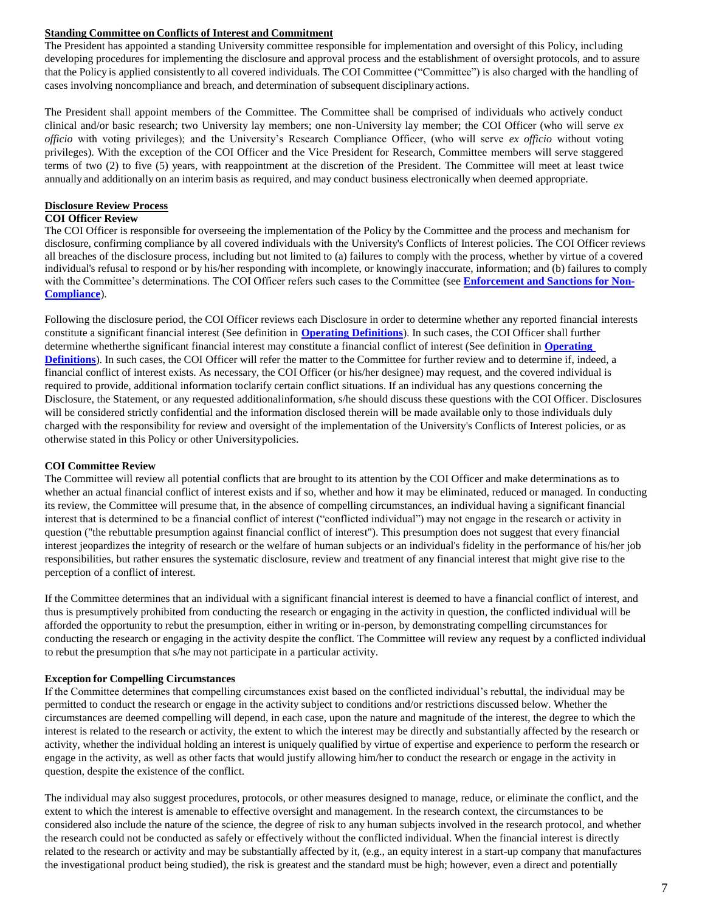## <span id="page-6-0"></span>**Standing Committee on Conflicts of Interest and Commitment**

The President has appointed a standing University committee responsible for implementation and oversight of this Policy, including developing procedures for implementing the disclosure and approval process and the establishment of oversight protocols, and to assure that the Policy is applied consistently to all covered individuals. The COI Committee ("Committee") is also charged with the handling of cases involving noncompliance and breach, and determination of subsequent disciplinary actions.

The President shall appoint members of the Committee. The Committee shall be comprised of individuals who actively conduct clinical and/or basic research; two University lay members; one non-University lay member; the COI Officer (who will serve *ex officio* with voting privileges); and the University's Research Compliance Officer, (who will serve *ex officio* without voting privileges). With the exception of the COI Officer and the Vice President for Research, Committee members will serve staggered terms of two (2) to five (5) years, with reappointment at the discretion of the President. The Committee will meet at least twice annually and additionally on an interim basis as required, and may conduct business electronically when deemed appropriate.

#### <span id="page-6-1"></span>**Disclosure Review Process COI Officer Review**

The COI Officer is responsible for overseeing the implementation of the Policy by the Committee and the process and mechanism for disclosure, confirming compliance by all covered individuals with the University's Conflicts of Interest policies. The COI Officer reviews all breaches of the disclosure process, including but not limited to (a) failures to comply with the process, whether by virtue of a covered individual's refusal to respond or by his/her responding with incomplete, or knowingly inaccurate, information; and (b) failures to comply with the Committee's determinations. The COI Officer refers such cases to the Committee (see **[Enforcement and Sanctions for Non-](#page-10-1)[Compliance](#page-10-1)**).

Following the disclosure period, the COI Officer reviews each Disclosure in order to determine whether any reported financial interests constitute a significant financial interest (See definition in **[Operating Definitions](#page-2-0)**). In such cases, the COI Officer shall further determine whetherthe significant financial interest may constitute a financial conflict of interest (See definition in **[Operating](#page-2-0)  [Definitions](#page-2-0)**). In such cases, the COI Officer will refer the matter to the Committee for further review and to determine if, indeed, a financial conflict of interest exists. As necessary, the COI Officer (or his/her designee) may request, and the covered individual is required to provide, additional information toclarify certain conflict situations. If an individual has any questions concerning the Disclosure, the Statement, or any requested additionalinformation, s/he should discuss these questions with the COI Officer. Disclosures will be considered strictly confidential and the information disclosed therein will be made available only to those individuals duly charged with the responsibility for review and oversight of the implementation of the University's Conflicts of Interest policies, or as otherwise stated in this Policy or other Universitypolicies.

## <span id="page-6-2"></span>**COI Committee Review**

The Committee will review all potential conflicts that are brought to its attention by the COI Officer and make determinations as to whether an actual financial conflict of interest exists and if so, whether and how it may be eliminated, reduced or managed. In conducting its review, the Committee will presume that, in the absence of compelling circumstances, an individual having a significant financial interest that is determined to be a financial conflict of interest ("conflicted individual") may not engage in the research or activity in question ("the rebuttable presumption against financial conflict of interest"). This presumption does not suggest that every financial interest jeopardizes the integrity of research or the welfare of human subjects or an individual's fidelity in the performance of his/her job responsibilities, but rather ensures the systematic disclosure, review and treatment of any financial interest that might give rise to the perception of a conflict of interest.

If the Committee determines that an individual with a significant financial interest is deemed to have a financial conflict of interest, and thus is presumptively prohibited from conducting the research or engaging in the activity in question, the conflicted individual will be afforded the opportunity to rebut the presumption, either in writing or in-person, by demonstrating compelling circumstances for conducting the research or engaging in the activity despite the conflict. The Committee will review any request by a conflicted individual to rebut the presumption that s/he may not participate in a particular activity.

## <span id="page-6-3"></span>**Exception for Compelling Circumstances**

If the Committee determines that compelling circumstances exist based on the conflicted individual's rebuttal, the individual may be permitted to conduct the research or engage in the activity subject to conditions and/or restrictions discussed below. Whether the circumstances are deemed compelling will depend, in each case, upon the nature and magnitude of the interest, the degree to which the interest is related to the research or activity, the extent to which the interest may be directly and substantially affected by the research or activity, whether the individual holding an interest is uniquely qualified by virtue of expertise and experience to perform the research or engage in the activity, as well as other facts that would justify allowing him/her to conduct the research or engage in the activity in question, despite the existence of the conflict.

The individual may also suggest procedures, protocols, or other measures designed to manage, reduce, or eliminate the conflict, and the extent to which the interest is amenable to effective oversight and management. In the research context, the circumstances to be considered also include the nature of the science, the degree of risk to any human subjects involved in the research protocol, and whether the research could not be conducted as safely or effectively without the conflicted individual. When the financial interest is directly related to the research or activity and may be substantially affected by it, (e.g., an equity interest in a start-up company that manufactures the investigational product being studied), the risk is greatest and the standard must be high; however, even a direct and potentially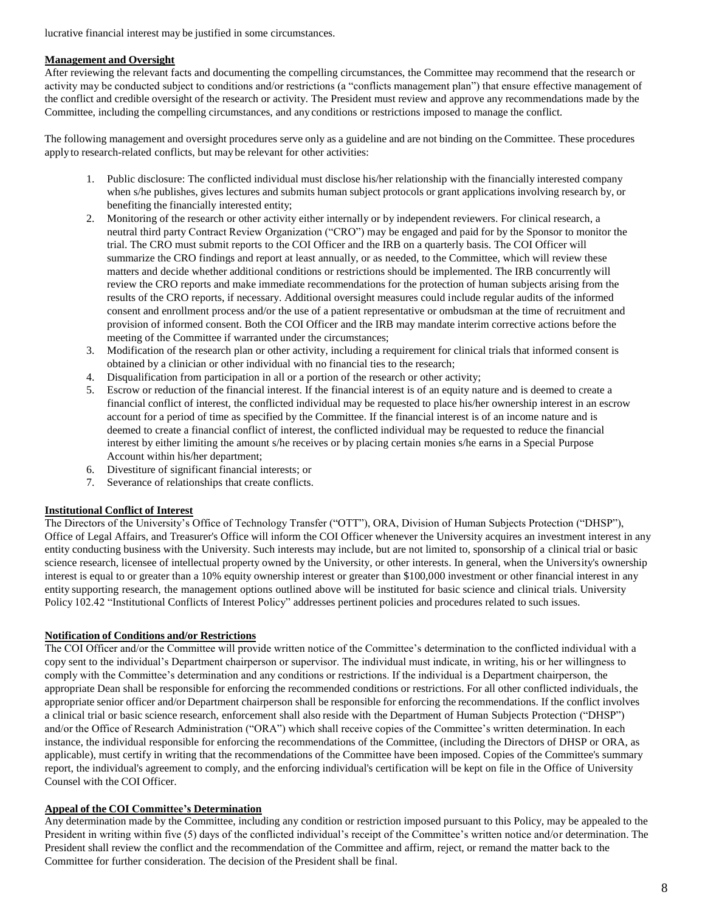lucrative financial interest may be justified in some circumstances.

## <span id="page-7-0"></span>**Management and Oversight**

After reviewing the relevant facts and documenting the compelling circumstances, the Committee may recommend that the research or activity may be conducted subject to conditions and/or restrictions (a "conflicts management plan") that ensure effective management of the conflict and credible oversight of the research or activity. The President must review and approve any recommendations made by the Committee, including the compelling circumstances, and anyconditions or restrictions imposed to manage the conflict.

The following management and oversight procedures serve only as a guideline and are not binding on the Committee. These procedures applyto research-related conflicts, but may be relevant for other activities:

- 1. Public disclosure: The conflicted individual must disclose his/her relationship with the financially interested company when s/he publishes, gives lectures and submits human subject protocols or grant applications involving research by, or benefiting the financially interested entity;
- 2. Monitoring of the research or other activity either internally or by independent reviewers. For clinical research, a neutral third party Contract Review Organization ("CRO") may be engaged and paid for by the Sponsor to monitor the trial. The CRO must submit reports to the COI Officer and the IRB on a quarterly basis. The COI Officer will summarize the CRO findings and report at least annually, or as needed, to the Committee, which will review these matters and decide whether additional conditions or restrictions should be implemented. The IRB concurrently will review the CRO reports and make immediate recommendations for the protection of human subjects arising from the results of the CRO reports, if necessary. Additional oversight measures could include regular audits of the informed consent and enrollment process and/or the use of a patient representative or ombudsman at the time of recruitment and provision of informed consent. Both the COI Officer and the IRB may mandate interim corrective actions before the meeting of the Committee if warranted under the circumstances;
- 3. Modification of the research plan or other activity, including a requirement for clinical trials that informed consent is obtained by a clinician or other individual with no financial ties to the research;
- 4. Disqualification from participation in all or a portion of the research or other activity;
- 5. Escrow or reduction of the financial interest. If the financial interest is of an equity nature and is deemed to create a financial conflict of interest, the conflicted individual may be requested to place his/her ownership interest in an escrow account for a period of time as specified by the Committee. If the financial interest is of an income nature and is deemed to create a financial conflict of interest, the conflicted individual may be requested to reduce the financial interest by either limiting the amount s/he receives or by placing certain monies s/he earns in a Special Purpose Account within his/her department;
- 6. Divestiture of significant financial interests; or
- 7. Severance of relationships that create conflicts.

## <span id="page-7-1"></span>**Institutional Conflict of Interest**

The Directors of the University's Office of Technology Transfer ("OTT"), ORA, Division of Human Subjects Protection ("DHSP"), Office of Legal Affairs, and Treasurer's Office will inform the COI Officer whenever the University acquires an investment interest in any entity conducting business with the University. Such interests may include, but are not limited to, sponsorship of a clinical trial or basic science research, licensee of intellectual property owned by the University, or other interests. In general, when the University's ownership interest is equal to or greater than a 10% equity ownership interest or greater than \$100,000 investment or other financial interest in any entity supporting research, the management options outlined above will be instituted for basic science and clinical trials. University Policy 102.42 "Institutional Conflicts of Interest Policy" addresses pertinent policies and procedures related to such issues.

## <span id="page-7-2"></span>**Notification of Conditions and/or Restrictions**

The COI Officer and/or the Committee will provide written notice of the Committee's determination to the conflicted individual with a copy sent to the individual's Department chairperson or supervisor. The individual must indicate, in writing, his or her willingness to comply with the Committee's determination and any conditions or restrictions. If the individual is a Department chairperson, the appropriate Dean shall be responsible for enforcing the recommended conditions or restrictions. For all other conflicted individuals, the appropriate senior officer and/or Department chairperson shall be responsible for enforcing the recommendations. If the conflict involves a clinical trial or basic science research, enforcement shall also reside with the Department of Human Subjects Protection ("DHSP") and/or the Office of Research Administration ("ORA") which shall receive copies of the Committee's written determination. In each instance, the individual responsible for enforcing the recommendations of the Committee, (including the Directors of DHSP or ORA, as applicable), must certify in writing that the recommendations of the Committee have been imposed. Copies of the Committee's summary report, the individual's agreement to comply, and the enforcing individual's certification will be kept on file in the Office of University Counsel with the COI Officer.

# <span id="page-7-3"></span>**Appeal of the COI Committee's Determination**

Any determination made by the Committee, including any condition or restriction imposed pursuant to this Policy, may be appealed to the President in writing within five (5) days of the conflicted individual's receipt of the Committee's written notice and/or determination. The President shall review the conflict and the recommendation of the Committee and affirm, reject, or remand the matter back to the Committee for further consideration. The decision of the President shall be final.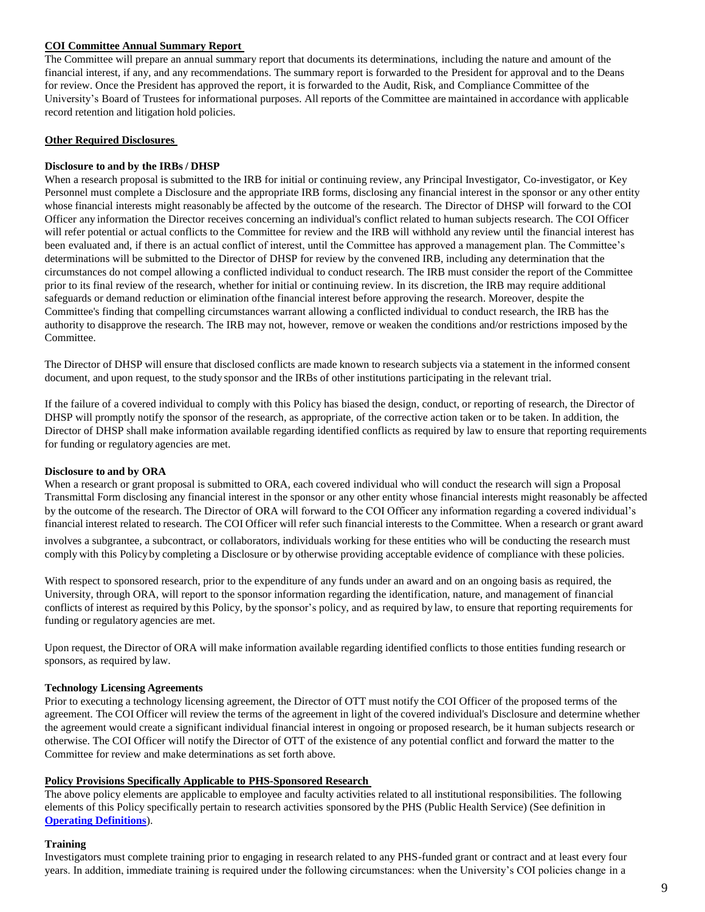#### <span id="page-8-0"></span>**COI Committee Annual Summary Report**

The Committee will prepare an annual summary report that documents its determinations, including the nature and amount of the financial interest, if any, and any recommendations. The summary report is forwarded to the President for approval and to the Deans for review. Once the President has approved the report, it is forwarded to the Audit, Risk, and Compliance Committee of the University's Board of Trustees for informational purposes. All reports of the Committee are maintained in accordance with applicable record retention and litigation hold policies.

#### <span id="page-8-1"></span>**Other Required Disclosures**

#### **Disclosure to and by the IRBs / DHSP**

When a research proposal is submitted to the IRB for initial or continuing review, any Principal Investigator, Co-investigator, or Key Personnel must complete a Disclosure and the appropriate IRB forms, disclosing any financial interest in the sponsor or any other entity whose financial interests might reasonably be affected by the outcome of the research. The Director of DHSP will forward to the COI Officer any information the Director receives concerning an individual's conflict related to human subjects research. The COI Officer will refer potential or actual conflicts to the Committee for review and the IRB will withhold any review until the financial interest has been evaluated and, if there is an actual conflict of interest, until the Committee has approved a management plan. The Committee's determinations will be submitted to the Director of DHSP for review by the convened IRB, including any determination that the circumstances do not compel allowing a conflicted individual to conduct research. The IRB must consider the report of the Committee prior to its final review of the research, whether for initial or continuing review. In its discretion, the IRB may require additional safeguards or demand reduction or elimination ofthe financial interest before approving the research. Moreover, despite the Committee's finding that compelling circumstances warrant allowing a conflicted individual to conduct research, the IRB has the authority to disapprove the research. The IRB may not, however, remove or weaken the conditions and/or restrictions imposed by the Committee.

The Director of DHSP will ensure that disclosed conflicts are made known to research subjects via a statement in the informed consent document, and upon request, to the study sponsor and the IRBs of other institutions participating in the relevant trial.

If the failure of a covered individual to comply with this Policy has biased the design, conduct, or reporting of research, the Director of DHSP will promptly notify the sponsor of the research, as appropriate, of the corrective action taken or to be taken. In addition, the Director of DHSP shall make information available regarding identified conflicts as required by law to ensure that reporting requirements for funding or regulatory agencies are met.

#### <span id="page-8-2"></span>**Disclosure to and by ORA**

When a research or grant proposal is submitted to ORA, each covered individual who will conduct the research will sign a Proposal Transmittal Form disclosing any financial interest in the sponsor or any other entity whose financial interests might reasonably be affected by the outcome of the research. The Director of ORA will forward to the COI Officer any information regarding a covered individual's financial interest related to research. The COI Officer will refer such financial interests to the Committee. When a research or grant award involves a subgrantee, a subcontract, or collaborators, individuals working for these entities who will be conducting the research must comply with this Policy by completing a Disclosure or by otherwise providing acceptable evidence of compliance with these policies.

With respect to sponsored research, prior to the expenditure of any funds under an award and on an ongoing basis as required, the University, through ORA, will report to the sponsor information regarding the identification, nature, and management of financial conflicts of interest as required by this Policy, by the sponsor's policy, and as required by law, to ensure that reporting requirements for funding or regulatory agencies are met.

Upon request, the Director of ORA will make information available regarding identified conflicts to those entities funding research or sponsors, as required by law.

#### <span id="page-8-3"></span>**Technology Licensing Agreements**

Prior to executing a technology licensing agreement, the Director of OTT must notify the COI Officer of the proposed terms of the agreement. The COI Officer will review the terms of the agreement in light of the covered individual's Disclosure and determine whether the agreement would create a significant individual financial interest in ongoing or proposed research, be it human subjects research or otherwise. The COI Officer will notify the Director of OTT of the existence of any potential conflict and forward the matter to the Committee for review and make determinations as set forth above.

#### <span id="page-8-4"></span>**Policy Provisions Specifically Applicable to PHS-Sponsored Research**

The above policy elements are applicable to employee and faculty activities related to all institutional responsibilities. The following elements of this Policy specifically pertain to research activities sponsored by the PHS (Public Health Service) (See definition in **[Operating Definitions](#page-2-0)**).

#### <span id="page-8-5"></span>**Training**

Investigators must complete training prior to engaging in research related to any PHS-funded grant or contract and at least every four years. In addition, immediate training is required under the following circumstances: when the University's COI policies change in a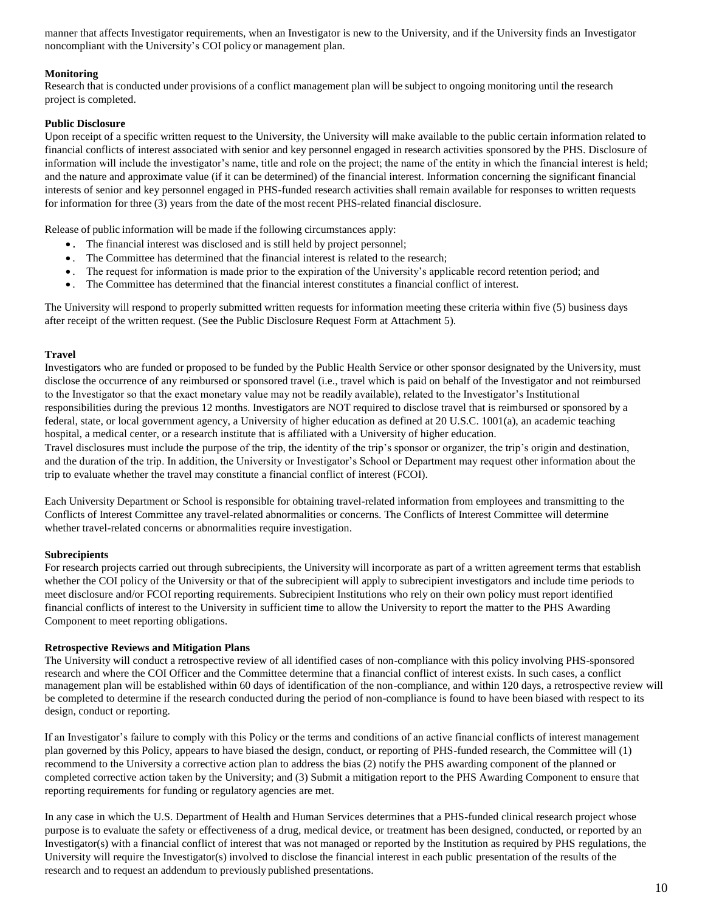manner that affects Investigator requirements, when an Investigator is new to the University, and if the University finds an Investigator noncompliant with the University's COI policy or management plan.

## <span id="page-9-0"></span>**Monitoring**

Research that is conducted under provisions of a conflict management plan will be subject to ongoing monitoring until the research project is completed.

## <span id="page-9-1"></span>**Public Disclosure**

Upon receipt of a specific written request to the University, the University will make available to the public certain information related to financial conflicts of interest associated with senior and key personnel engaged in research activities sponsored by the PHS. Disclosure of information will include the investigator's name, title and role on the project; the name of the entity in which the financial interest is held; and the nature and approximate value (if it can be determined) of the financial interest. Information concerning the significant financial interests of senior and key personnel engaged in PHS-funded research activities shall remain available for responses to written requests for information for three (3) years from the date of the most recent PHS-related financial disclosure.

Release of public information will be made if the following circumstances apply:

- . The financial interest was disclosed and is still held by project personnel;
- . The Committee has determined that the financial interest is related to the research;
- . The request for information is made prior to the expiration of the University's applicable record retention period; and
- . The Committee has determined that the financial interest constitutes a financial conflict of interest.

The University will respond to properly submitted written requests for information meeting these criteria within five (5) business days after receipt of the written request. (See the Public Disclosure Request Form at Attachment 5).

## <span id="page-9-2"></span>**Travel**

Investigators who are funded or proposed to be funded by the Public Health Service or other sponsor designated by the University, must disclose the occurrence of any reimbursed or sponsored travel (i.e., travel which is paid on behalf of the Investigator and not reimbursed to the Investigator so that the exact monetary value may not be readily available), related to the Investigator's Institutional responsibilities during the previous 12 months. Investigators are NOT required to disclose travel that is reimbursed or sponsored by a federal, state, or local government agency, a University of higher education as defined at 20 U.S.C. 1001(a), an academic teaching hospital, a medical center, or a research institute that is affiliated with a University of higher education. Travel disclosures must include the purpose of the trip, the identity of the trip's sponsor or organizer, the trip's origin and destination,

and the duration of the trip. In addition, the University or Investigator's School or Department may request other information about the trip to evaluate whether the travel may constitute a financial conflict of interest (FCOI).

Each University Department or School is responsible for obtaining travel-related information from employees and transmitting to the Conflicts of Interest Committee any travel-related abnormalities or concerns. The Conflicts of Interest Committee will determine whether travel-related concerns or abnormalities require investigation.

#### <span id="page-9-3"></span>**Subrecipients**

For research projects carried out through subrecipients, the University will incorporate as part of a written agreement terms that establish whether the COI policy of the University or that of the subrecipient will apply to subrecipient investigators and include time periods to meet disclosure and/or FCOI reporting requirements. Subrecipient Institutions who rely on their own policy must report identified financial conflicts of interest to the University in sufficient time to allow the University to report the matter to the PHS Awarding Component to meet reporting obligations.

#### <span id="page-9-4"></span>**Retrospective Reviews and Mitigation Plans**

The University will conduct a retrospective review of all identified cases of non-compliance with this policy involving PHS-sponsored research and where the COI Officer and the Committee determine that a financial conflict of interest exists. In such cases, a conflict management plan will be established within 60 days of identification of the non-compliance, and within 120 days, a retrospective review will be completed to determine if the research conducted during the period of non-compliance is found to have been biased with respect to its design, conduct or reporting.

If an Investigator's failure to comply with this Policy or the terms and conditions of an active financial conflicts of interest management plan governed by this Policy, appears to have biased the design, conduct, or reporting of PHS-funded research, the Committee will (1) recommend to the University a corrective action plan to address the bias (2) notify the PHS awarding component of the planned or completed corrective action taken by the University; and (3) Submit a mitigation report to the PHS Awarding Component to ensure that reporting requirements for funding or regulatory agencies are met.

In any case in which the U.S. Department of Health and Human Services determines that a PHS-funded clinical research project whose purpose is to evaluate the safety or effectiveness of a drug, medical device, or treatment has been designed, conducted, or reported by an Investigator(s) with a financial conflict of interest that was not managed or reported by the Institution as required by PHS regulations, the University will require the Investigator(s) involved to disclose the financial interest in each public presentation of the results of the research and to request an addendum to previously published presentations.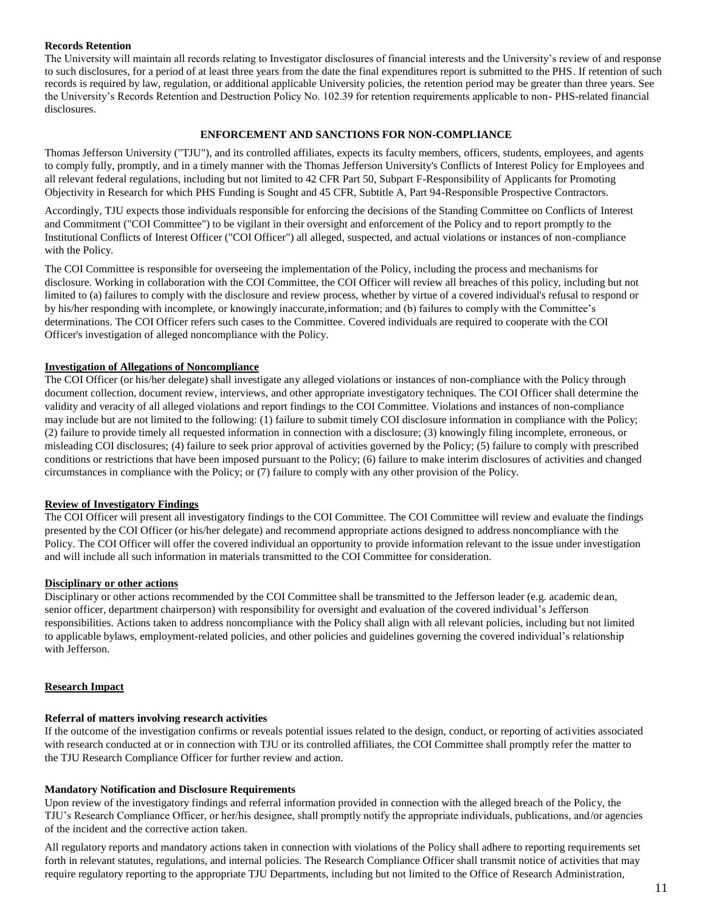#### <span id="page-10-0"></span>**Records Retention**

The University will maintain all records relating to Investigator disclosures of financial interests and the University's review of and response to such disclosures, for a period of at least three years from the date the final expenditures report is submitted to the PHS. If retention of such records is required by law, regulation, or additional applicable University policies, the retention period may be greater than three years. See the University's Records Retention and Destruction Policy No. 102.39 for retention requirements applicable to non- PHS-related financial disclosures.

#### **ENFORCEMENT AND SANCTIONS FOR NON-COMPLIANCE**

<span id="page-10-1"></span>Thomas Jefferson University ("TJU"), and its controlled affiliates, expects its faculty members, officers, students, employees, and agents to comply fully, promptly, and in a timely manner with the Thomas Jefferson University's Conflicts of Interest Policy for Employees and all relevant federal regulations, including but not limited to 42 CFR Part 50, Subpart F-Responsibility of Applicants for Promoting Objectivity in Research for which PHS Funding is Sought and 45 CFR, Subtitle A, Part 94-Responsible Prospective Contractors.

Accordingly, TJU expects those individuals responsible for enforcing the decisions of the Standing Committee on Conflicts of Interest and Commitment ("COI Committee") to be vigilant in their oversight and enforcement of the Policy and to report promptly to the Institutional Conflicts of Interest Officer ("COI Officer") all alleged, suspected, and actual violations or instances of non-compliance with the Policy.

The COI Committee is responsible for overseeing the implementation of the Policy, including the process and mechanisms for disclosure. Working in collaboration with the COI Committee, the COI Officer will review all breaches of this policy, including but not limited to (a) failures to comply with the disclosure and review process, whether by virtue of a covered individual's refusal to respond or by his/her responding with incomplete, or knowingly inaccurate,information; and (b) failures to comply with the Committee's determinations. The COI Officer refers such cases to the Committee. Covered individuals are required to cooperate with the COI Officer's investigation of alleged noncompliance with the Policy.

#### <span id="page-10-2"></span>**Investigation of Allegations of Noncompliance**

The COI Officer (or his/her delegate) shall investigate any alleged violations or instances of non-compliance with the Policy through document collection, document review, interviews, and other appropriate investigatory techniques. The COI Officer shall determine the validity and veracity of all alleged violations and report findings to the COI Committee. Violations and instances of non-compliance may include but are not limited to the following: (1) failure to submit timely COI disclosure information in compliance with the Policy; (2) failure to provide timely all requested information in connection with a disclosure; (3) knowingly filing incomplete, erroneous, or misleading COI disclosures; (4) failure to seek prior approval of activities governed by the Policy; (5) failure to comply with prescribed conditions or restrictions that have been imposed pursuant to the Policy; (6) failure to make interim disclosures of activities and changed circumstances in compliance with the Policy; or (7) failure to comply with any other provision of the Policy.

## <span id="page-10-3"></span>**Review of Investigatory Findings**

The COI Officer will present all investigatory findings to the COI Committee. The COI Committee will review and evaluate the findings presented by the COI Officer (or his/her delegate) and recommend appropriate actions designed to address noncompliance with the Policy. The COI Officer will offer the covered individual an opportunity to provide information relevant to the issue under investigation and will include all such information in materials transmitted to the COI Committee for consideration.

#### <span id="page-10-4"></span>**Disciplinary or other actions**

Disciplinary or other actions recommended by the COI Committee shall be transmitted to the Jefferson leader (e.g. academic dean, senior officer, department chairperson) with responsibility for oversight and evaluation of the covered individual's Jefferson responsibilities. Actions taken to address noncompliance with the Policy shall align with all relevant policies, including but not limited to applicable bylaws, employment-related policies, and other policies and guidelines governing the covered individual's relationship with Jefferson.

## <span id="page-10-5"></span>**Research Impact**

## <span id="page-10-6"></span>**Referral of matters involving research activities**

If the outcome of the investigation confirms or reveals potential issues related to the design, conduct, or reporting of activities associated with research conducted at or in connection with TJU or its controlled affiliates, the COI Committee shall promptly refer the matter to the TJU Research Compliance Officer for further review and action.

#### <span id="page-10-7"></span>**Mandatory Notification and Disclosure Requirements**

Upon review of the investigatory findings and referral information provided in connection with the alleged breach of the Policy, the TJU's Research Compliance Officer, or her/his designee, shall promptly notify the appropriate individuals, publications, and/or agencies of the incident and the corrective action taken.

All regulatory reports and mandatory actions taken in connection with violations of the Policy shall adhere to reporting requirements set forth in relevant statutes, regulations, and internal policies. The Research Compliance Officer shall transmit notice of activities that may require regulatory reporting to the appropriate TJU Departments, including but not limited to the Office of Research Administration,